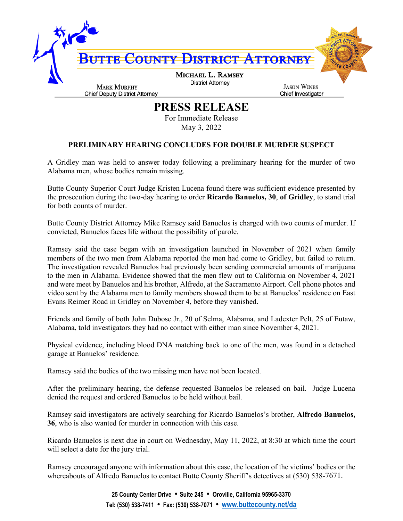

## **PRESS RELEASE**

For Immediate Release May 3, 2022

## **PRELIMINARY HEARING CONCLUDES FOR DOUBLE MURDER SUSPECT**

A Gridley man was held to answer today following a preliminary hearing for the murder of two Alabama men, whose bodies remain missing.

Butte County Superior Court Judge Kristen Lucena found there was sufficient evidence presented by the prosecution during the two-day hearing to order **Ricardo Banuelos, 30**, **of Gridley**, to stand trial for both counts of murder.

Butte County District Attorney Mike Ramsey said Banuelos is charged with two counts of murder. If convicted, Banuelos faces life without the possibility of parole.

Ramsey said the case began with an investigation launched in November of 2021 when family members of the two men from Alabama reported the men had come to Gridley, but failed to return. The investigation revealed Banuelos had previously been sending commercial amounts of marijuana to the men in Alabama. Evidence showed that the men flew out to California on November 4, 2021 and were meet by Banuelos and his brother, Alfredo, at the Sacramento Airport. Cell phone photos and video sent by the Alabama men to family members showed them to be at Banuelos' residence on East Evans Reimer Road in Gridley on November 4, before they vanished.

Friends and family of both John Dubose Jr., 20 of Selma, Alabama, and Ladexter Pelt, 25 of Eutaw, Alabama, told investigators they had no contact with either man since November 4, 2021.

Physical evidence, including blood DNA matching back to one of the men, was found in a detached garage at Banuelos' residence.

Ramsey said the bodies of the two missing men have not been located.

After the preliminary hearing, the defense requested Banuelos be released on bail. Judge Lucena denied the request and ordered Banuelos to be held without bail.

Ramsey said investigators are actively searching for Ricardo Banuelos's brother, **Alfredo Banuelos, 36**, who is also wanted for murder in connection with this case.

Ricardo Banuelos is next due in court on Wednesday, May 11, 2022, at 8:30 at which time the court will select a date for the jury trial.

Ramsey encouraged anyone with information about this case, the location of the victims' bodies or the whereabouts of Alfredo Banuelos to contact Butte County Sheriff's detectives at (530) 538-7671.

> **25 County Center Drive** • **Suite 245** • **Oroville, California 95965-3370 Tel: (530) 538-7411** • **Fax: (530) 538-7071** • **[www.buttecounty.net/da](http://www.buttecounty.net/da)**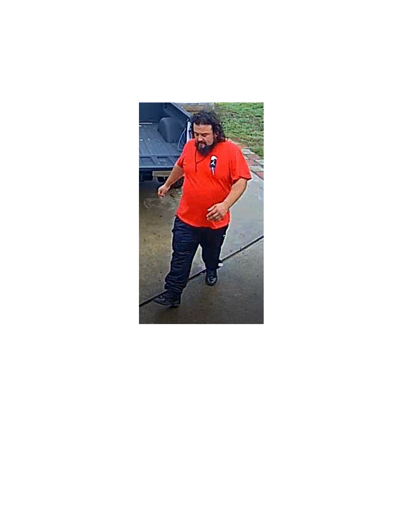